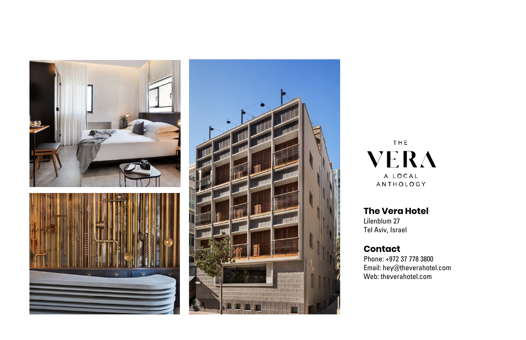





THE **VERA** A LOCAL ANTHOLOGY

**The Vera Hotel**

Lilenblum 27 Tel Aviv, Israel

#### **Contact**

Phone: +972 37 778 3800 Email: hey@theverahotel.com Web: theverahotel.com